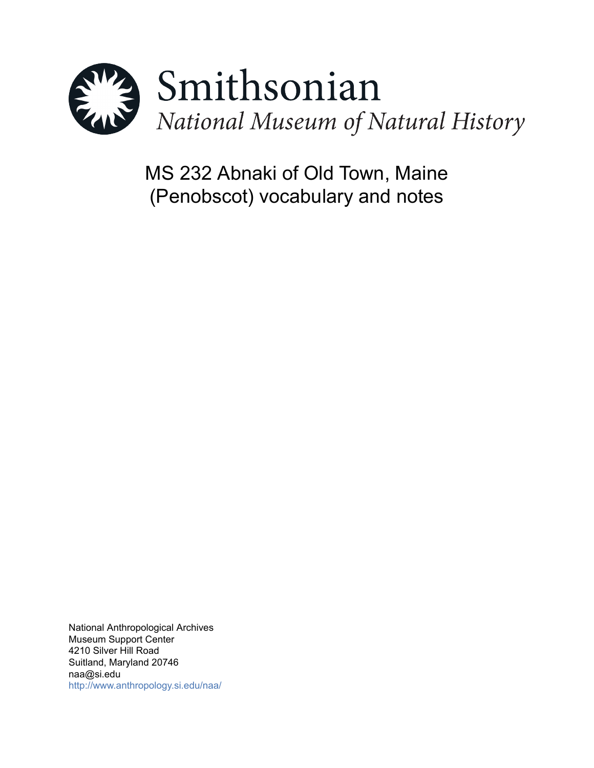

MS 232 Abnaki of Old Town, Maine (Penobscot) vocabulary and notes

National Anthropological Archives Museum Support Center 4210 Silver Hill Road Suitland, Maryland 20746 naa@si.edu <http://www.anthropology.si.edu/naa/>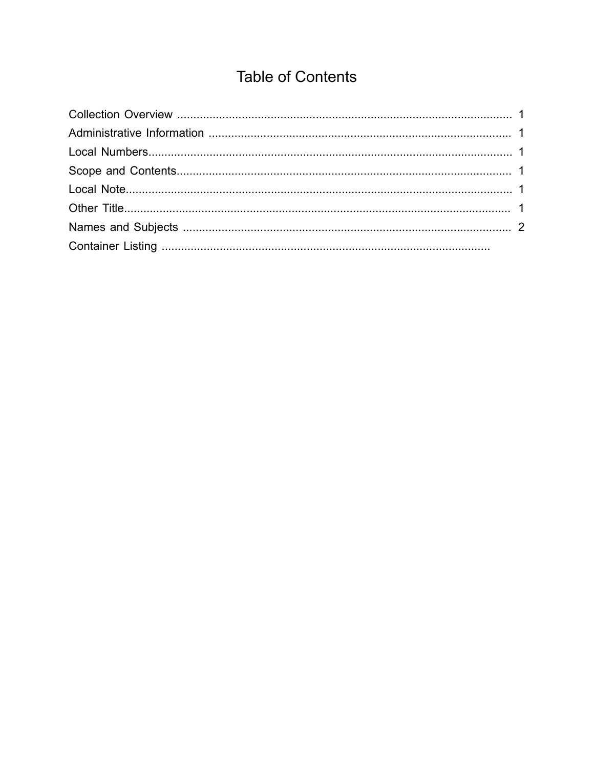# **Table of Contents**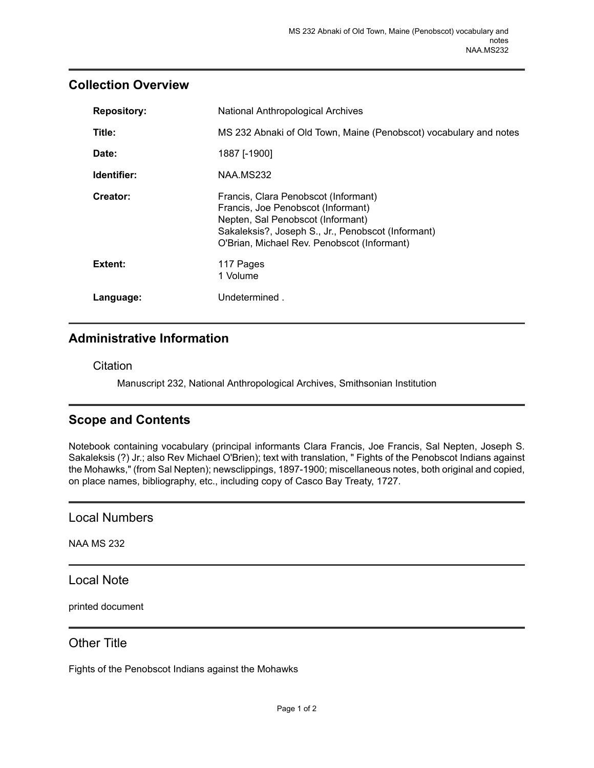### <span id="page-2-0"></span>**Collection Overview**

| <b>Repository:</b> | National Anthropological Archives                                                                                                                                                                                    |
|--------------------|----------------------------------------------------------------------------------------------------------------------------------------------------------------------------------------------------------------------|
| Title:             | MS 232 Abnaki of Old Town, Maine (Penobscot) vocabulary and notes                                                                                                                                                    |
| Date:              | 1887 [-1900]                                                                                                                                                                                                         |
| Identifier:        | NAA.MS232                                                                                                                                                                                                            |
| Creator:           | Francis, Clara Penobscot (Informant)<br>Francis, Joe Penobscot (Informant)<br>Nepten, Sal Penobscot (Informant)<br>Sakaleksis?, Joseph S., Jr., Penobscot (Informant)<br>O'Brian, Michael Rev. Penobscot (Informant) |
| Extent:            | 117 Pages<br>1 Volume                                                                                                                                                                                                |
| Language:          | Undetermined.                                                                                                                                                                                                        |

## <span id="page-2-1"></span>**Administrative Information**

**Citation** 

Manuscript 232, National Anthropological Archives, Smithsonian Institution

# <span id="page-2-3"></span>**Scope and Contents**

Notebook containing vocabulary (principal informants Clara Francis, Joe Francis, Sal Nepten, Joseph S. Sakaleksis (?) Jr.; also Rev Michael O'Brien); text with translation, " Fights of the Penobscot Indians against the Mohawks," (from Sal Nepten); newsclippings, 1897-1900; miscellaneous notes, both original and copied, on place names, bibliography, etc., including copy of Casco Bay Treaty, 1727.

<span id="page-2-2"></span>Local Numbers

NAA MS 232

<span id="page-2-4"></span>Local Note

printed document

#### <span id="page-2-5"></span>Other Title

Fights of the Penobscot Indians against the Mohawks